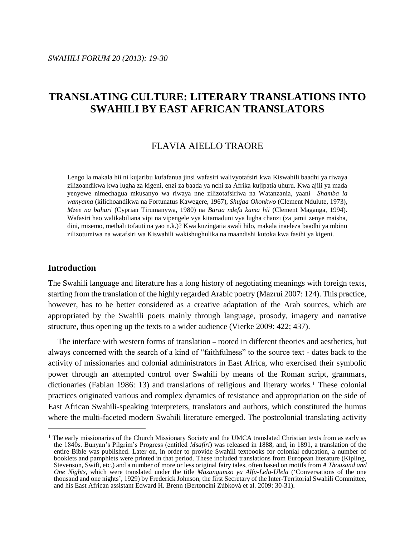# **TRANSLATING CULTURE: LITERARY TRANSLATIONS INTO SWAHILI BY EAST AFRICAN TRANSLATORS**

## FLAVIA AIELLO TRAORE

Lengo la makala hii ni kujaribu kufafanua jinsi wafasiri walivyotafsiri kwa Kiswahili baadhi ya riwaya zilizoandikwa kwa lugha za kigeni, enzi za baada ya nchi za Afrika kujipatia uhuru. Kwa ajili ya mada yenyewe nimechagua mkusanyo wa riwaya nne zilizotafsiriwa na Watanzania, yaani *Shamba la wanyama* (kilichoandikwa na Fortunatus Kawegere, 1967), *Shujaa Okonkwo* (Clement Ndulute, 1973), *Mzee na bahari* (Cyprian Tirumanywa, 1980) na *Barua ndefu kama hii* (Clement Maganga, 1994). Wafasiri hao walikabiliana vipi na vipengele vya kitamaduni vya lugha chanzi (za jamii zenye maisha, dini, misemo, methali tofauti na yao n.k.)? Kwa kuzingatia swali hilo, makala inaeleza baadhi ya mbinu zilizotumiwa na watafsiri wa Kiswahili wakishughulika na maandishi kutoka kwa fasihi ya kigeni.

## **Introduction**

 $\overline{a}$ 

The Swahili language and literature has a long history of negotiating meanings with foreign texts, starting from the translation of the highly regarded Arabic poetry (Mazrui 2007: 124). This practice, however, has to be better considered as a creative adaptation of the Arab sources, which are appropriated by the Swahili poets mainly through language, prosody, imagery and narrative structure, thus opening up the texts to a wider audience (Vierke 2009: 422; 437).

The interface with western forms of translation *–* rooted in different theories and aesthetics, but always concerned with the search of a kind of "faithfulness" to the source text - dates back to the activity of missionaries and colonial administrators in East Africa, who exercised their symbolic power through an attempted control over Swahili by means of the Roman script, grammars, dictionaries (Fabian 1986: 13) and translations of religious and literary works.<sup>1</sup> These colonial practices originated various and complex dynamics of resistance and appropriation on the side of East African Swahili-speaking interpreters, translators and authors, which constituted the humus where the multi-faceted modern Swahili literature emerged. The postcolonial translating activity

<sup>&</sup>lt;sup>1</sup> The early missionaries of the Church Missionary Society and the UMCA translated Christian texts from as early as the 1840s. Bunyan's Pilgrim's Progress (entitled *Msafiri*) was released in 1888, and, in 1891, a translation of the entire Bible was published. Later on, in order to provide Swahili textbooks for colonial education, a number of booklets and pamphlets were printed in that period. These included translations from European literature (Kipling, Stevenson, Swift, etc.) and a number of more or less original fairy tales, often based on motifs from *A Thousand and One Nights*, which were translated under the title *Mazungumzo ya Alfu-Lela-Ulela* ('Conversations of the one thousand and one nights', 1929) by Frederick Johnson, the first Secretary of the Inter-Territorial Swahili Committee, and his East African assistant Edward H. Brenn (Bertoncini Zúbková et al. 2009: 30-31).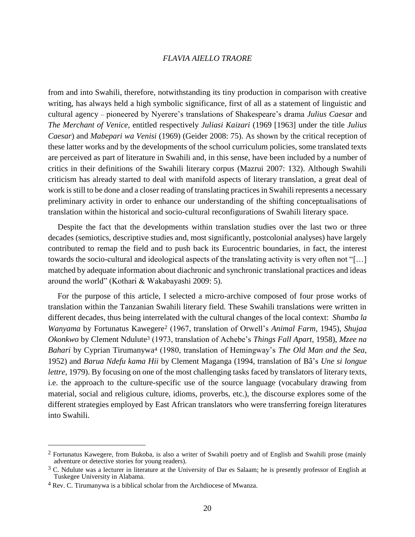from and into Swahili, therefore, notwithstanding its tiny production in comparison with creative writing, has always held a high symbolic significance, first of all as a statement of linguistic and cultural agency *–* pioneered by Nyerere's translations of Shakespeare's drama *Julius Caesar* and *The Merchant of Venice,* entitled respectively *Juliasi Kaizari* (1969 [1963] under the title *Julius Caesar*) and *Mabepari wa Venisi* (1969) (Geider 2008: 75). As shown by the critical reception of these latter works and by the developments of the school curriculum policies, some translated texts are perceived as part of literature in Swahili and, in this sense, have been included by a number of critics in their definitions of the Swahili literary corpus (Mazrui 2007: 132). Although Swahili criticism has already started to deal with manifold aspects of literary translation, a great deal of work is still to be done and a closer reading of translating practices in Swahili represents a necessary preliminary activity in order to enhance our understanding of the shifting conceptualisations of translation within the historical and socio-cultural reconfigurations of Swahili literary space.

Despite the fact that the developments within translation studies over the last two or three decades (semiotics, descriptive studies and, most significantly, postcolonial analyses) have largely contributed to remap the field and to push back its Eurocentric boundaries, in fact, the interest towards the socio-cultural and ideological aspects of the translating activity is very often not "[…] matched by adequate information about diachronic and synchronic translational practices and ideas around the world" (Kothari & Wakabayashi 2009: 5).

For the purpose of this article, I selected a micro-archive composed of four prose works of translation within the Tanzanian Swahili literary field. These Swahili translations were written in different decades, thus being interrelated with the cultural changes of the local context: *Shamba la Wanyama* by Fortunatus Kawegere<sup>2</sup> (1967, translation of Orwell's *Animal Farm*, 1945), *Shujaa Okonkwo* by Clement Ndulute<sup>3</sup> (1973, translation of Achebe's *Things Fall Apart*, 1958), *Mzee na Bahari* by Cyprian Tirumanywa<sup>4</sup> (1980, translation of Hemingway's *The Old Man and the Sea*, 1952) and *Barua Ndefu kama Hii* by Clement Maganga (1994, translation of Bâ's *Une si longue lettre*, 1979). By focusing on one of the most challenging tasks faced by translators of literary texts, i.e. the approach to the culture-specific use of the source language (vocabulary drawing from material, social and religious culture, idioms, proverbs, etc.), the discourse explores some of the different strategies employed by East African translators who were transferring foreign literatures into Swahili.

 $\overline{a}$ 

<sup>2</sup> Fortunatus Kawegere, from Bukoba, is also a writer of Swahili poetry and of English and Swahili prose (mainly adventure or detective stories for young readers).

 $3$  C. Ndulute was a lecturer in literature at the University of Dar es Salaam; he is presently professor of English at Tuskegee University in Alabama.

<sup>4</sup> Rev. C. Tirumanywa is a biblical scholar from the Archdiocese of Mwanza.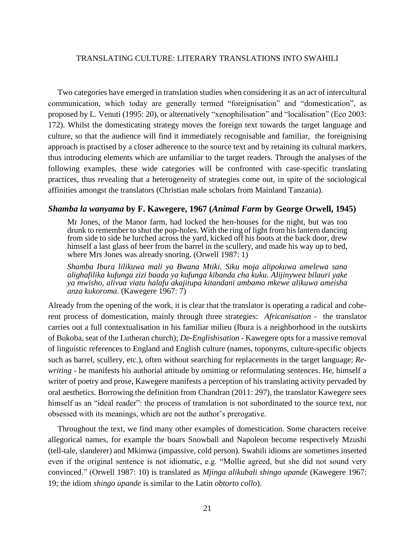Two categories have emerged in translation studies when considering it as an act of intercultural communication, which today are generally termed "foreignisation" and "domestication", as proposed by L. Venuti (1995: 20), or alternatively "xenophilisation" and "localisation" (Eco 2003: 172). Whilst the domesticating strategy moves the foreign text towards the target language and culture, so that the audience will find it immediately recognisable and familiar, the foreignising approach is practised by a closer adherence to the source text and by retaining its cultural markers, thus introducing elements which are unfamiliar to the target readers. Through the analyses of the following examples, these wide categories will be confronted with case-specific translating practices, thus revealing that a heterogeneity of strategies come out, in spite of the sociological affinities amongst the translators (Christian male scholars from Mainland Tanzania).

## *Shamba la wanyama* **by F. Kawegere, 1967 (***Animal Farm* **by George Orwell, 1945)**

Mr Jones, of the Manor farm, had locked the hen-houses for the night, but was too drunk to remember to shut the pop-holes. With the ring of light from his lantern dancing from side to side he lurched across the yard, kicked off his boots at the back door, drew himself a last glass of beer from the barrel in the scullery, and made his way up to bed, where Mrs Jones was already snoring. (Orwell 1987: 1)

*Shamba Ibura lilikuwa mali ya Bwana Mtiki. Siku moja alipokuwa amelewa sana alighafilika kufunga zizi baada ya kufunga kibanda cha kuku. Alijinywea bilauri yake ya mwisho, alivua viatu halafu akajitupa kitandani ambamo mkewe alikuwa ameisha anza kukoroma*. (Kawegere 1967: 7)

Already from the opening of the work, it is clear that the translator is operating a radical and coherent process of domestication, mainly through three strategies: *Africanisation* - the translator carries out a full contextualisation in his familiar milieu (Ibura is a neighborhood in the outskirts of Bukoba, seat of the Lutheran church); *De-Englishisation* - Kawegere opts for a massive removal of linguistic references to England and English culture (names, toponyms, culture-specific objects such as barrel, scullery, etc.), often without searching for replacements in the target language; *Rewriting* - he manifests his authorial attitude by omitting or reformulating sentences. He, himself a writer of poetry and prose, Kawegere manifests a perception of his translating activity pervaded by oral aesthetics. Borrowing the definition from Chandran (2011: 297), the translator Kawegere sees himself as an "ideal reader": the process of translation is not subordinated to the source text, nor obsessed with its meanings, which are not the author's prerogative.

Throughout the text, we find many other examples of domestication. Some characters receive allegorical names, for example the boars Snowball and Napoleon become respectively Mzushi (tell-tale, slanderer) and Mkimwa (impassive, cold person). Swahili idioms are sometimes inserted even if the original sentence is not idiomatic, e.g. "Mollie agreed, but she did not sound very convinced." (Orwell 1987: 10) is translated as *Mjinga alikubali shingo upande* (Kawegere 1967: 19; the idiom *shingo upande* is similar to the Latin *obtorto collo*).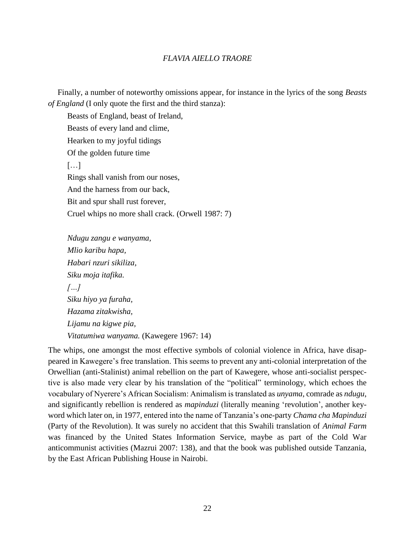Finally, a number of noteworthy omissions appear, for instance in the lyrics of the song *Beasts of England* (I only quote the first and the third stanza):

Beasts of England, beast of Ireland, Beasts of every land and clime, Hearken to my joyful tidings Of the golden future time […] Rings shall vanish from our noses, And the harness from our back, Bit and spur shall rust forever, Cruel whips no more shall crack. (Orwell 1987: 7)

*Ndugu zangu e wanyama, Mlio karibu hapa, Habari nzuri sikiliza, Siku moja itafika. […] Siku hiyo ya furaha, Hazama zitakwisha, Lijamu na kigwe pia, Vitatumiwa wanyama.* (Kawegere 1967: 14)

The whips, one amongst the most effective symbols of colonial violence in Africa, have disappeared in Kawegere's free translation. This seems to prevent any anti-colonial interpretation of the Orwellian (anti-Stalinist) animal rebellion on the part of Kawegere, whose anti-socialist perspective is also made very clear by his translation of the "political" terminology, which echoes the vocabulary of Nyerere's African Socialism: Animalism is translated as *unyama*, comrade as *ndugu*, and significantly rebellion is rendered as *mapinduzi* (literally meaning 'revolution', another keyword which later on, in 1977, entered into the name of Tanzania's one-party *Chama cha Mapinduzi* (Party of the Revolution). It was surely no accident that this Swahili translation of *Animal Farm* was financed by the United States Information Service, maybe as part of the Cold War anticommunist activities (Mazrui 2007: 138), and that the book was published outside Tanzania, by the East African Publishing House in Nairobi.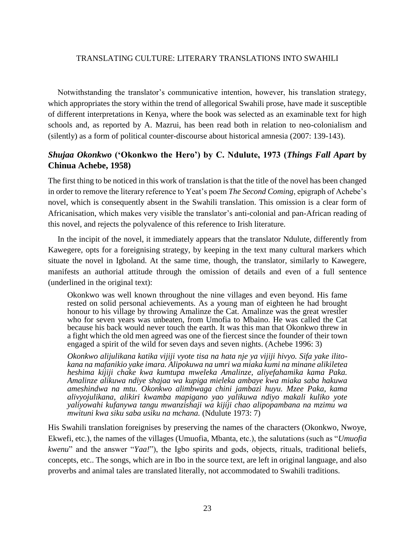Notwithstanding the translator's communicative intention, however, his translation strategy, which appropriates the story within the trend of allegorical Swahili prose, have made it susceptible of different interpretations in Kenya, where the book was selected as an examinable text for high schools and, as reported by A. Mazrui, has been read both in relation to neo-colonialism and (silently) as a form of political counter-discourse about historical amnesia (2007: 139-143).

## *Shujaa Okonkwo* **('Okonkwo the Hero') by C. Ndulute, 1973 (***Things Fall Apart* **by Chinua Achebe, 1958)**

The first thing to be noticed in this work of translation is that the title of the novel has been changed in order to remove the literary reference to Yeat's poem *The Second Coming*, epigraph of Achebe's novel, which is consequently absent in the Swahili translation. This omission is a clear form of Africanisation, which makes very visible the translator's anti-colonial and pan-African reading of this novel, and rejects the polyvalence of this reference to Irish literature.

In the incipit of the novel, it immediately appears that the translator Ndulute, differently from Kawegere, opts for a foreignising strategy, by keeping in the text many cultural markers which situate the novel in Igboland. At the same time, though, the translator, similarly to Kawegere, manifests an authorial attitude through the omission of details and even of a full sentence (underlined in the original text):

Okonkwo was well known throughout the nine villages and even beyond. His fame rested on solid personal achievements. As a young man of eighteen he had brought honour to his village by throwing Amalinze the Cat. Amalinze was the great wrestler who for seven years was unbeaten, from Umofia to Mbaino. He was called the Cat because his back would never touch the earth. It was this man that Okonkwo threw in a fight which the old men agreed was one of the fiercest since the founder of their town engaged a spirit of the wild for seven days and seven nights. (Achebe 1996: 3)

*Okonkwo alijulikana katika vijiji vyote tisa na hata nje ya vijiji hivyo. Sifa yake ilitokana na mafanikio yake imara. Alipokuwa na umri wa miaka kumi na minane alikiletea heshima kijiji chake kwa kumtupa mweleka Amalinze, aliyefahamika kama Paka. Amalinze alikuwa ndiye shajaa wa kupiga mieleka ambaye kwa miaka saba hakuwa ameshindwa na mtu. Okonkwo alimbwaga chini jambazi huyu. Mzee Paka, kama alivyojulikana, alikiri kwamba mapigano yao yalikuwa ndiyo makali kuliko yote yaliyowahi kufanywa tangu mwanzishaji wa kijiji chao alipopambana na mzimu wa mwituni kwa siku saba usiku na mchana.* (Ndulute 1973: 7)

His Swahili translation foreignises by preserving the names of the characters (Okonkwo, Nwoye, Ekwefi, etc.), the names of the villages (Umuofia, Mbanta, etc.), the salutations (such as "*Umuofia kwenu*" and the answer "*Yaa!*"), the Igbo spirits and gods, objects, rituals, traditional beliefs, concepts, etc.. The songs, which are in Ibo in the source text, are left in original language, and also proverbs and animal tales are translated literally, not accommodated to Swahili traditions.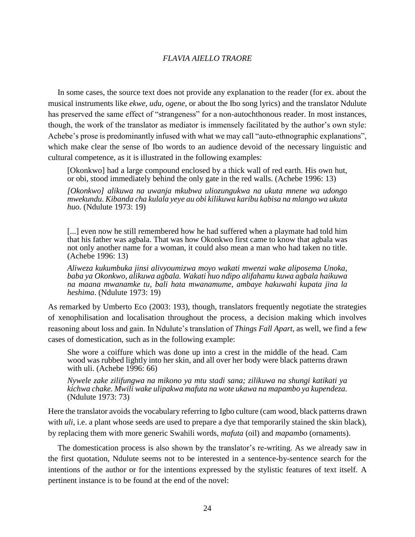In some cases, the source text does not provide any explanation to the reader (for ex. about the musical instruments like *ekwe, udu, ogene*, or about the Ibo song lyrics) and the translator Ndulute has preserved the same effect of "strangeness" for a non-autochthonous reader. In most instances, though, the work of the translator as mediator is immensely facilitated by the author's own style: Achebe's prose is predominantly infused with what we may call "auto-ethnographic explanations", which make clear the sense of Ibo words to an audience devoid of the necessary linguistic and cultural competence, as it is illustrated in the following examples:

[Okonkwo] had a large compound enclosed by a thick wall of red earth. His own hut, or obi, stood immediately behind the only gate in the red walls. (Achebe 1996: 13)

*[Okonkwo] alikuwa na uwanja mkubwa uliozungukwa na ukuta mnene wa udongo mwekundu. Kibanda cha kulala yeye au obi kilikuwa karibu kabisa na mlango wa ukuta huo.* (Ndulute 1973: 19)

[...] even now he still remembered how he had suffered when a playmate had told him that his father was agbala. That was how Okonkwo first came to know that agbala was not only another name for a woman, it could also mean a man who had taken no title. (Achebe 1996: 13)

*Aliweza kukumbuka jinsi alivyoumizwa moyo wakati mwenzi wake aliposema Unoka, baba ya Okonkwo, alikuwa agbala. Wakati huo ndipo alifahamu kuwa agbala haikuwa na maana mwanamke tu, bali hata mwanamume, ambaye hakuwahi kupata jina la heshima*. (Ndulute 1973: 19)

As remarked by Umberto Eco (2003: 193), though, translators frequently negotiate the strategies of xenophilisation and localisation throughout the process, a decision making which involves reasoning about loss and gain. In Ndulute's translation of *Things Fall Apart*, as well, we find a few cases of domestication, such as in the following example:

She wore a coiffure which was done up into a crest in the middle of the head. Cam wood was rubbed lightly into her skin, and all over her body were black patterns drawn with uli. (Achebe 1996: 66)

*Nywele zake zilifungwa na mikono ya mtu stadi sana; zilikuwa na shungi katikati ya kichwa chake. Mwili wake ulipakwa mafuta na wote ukawa na mapambo ya kupendeza.* (Ndulute 1973: 73)

Here the translator avoids the vocabulary referring to Igbo culture (cam wood, black patterns drawn with *uli*, i.e. a plant whose seeds are used to prepare a dye that temporarily stained the skin black), by replacing them with more generic Swahili words, *mafuta* (oil) and *mapambo* (ornaments).

The domestication process is also shown by the translator's re-writing. As we already saw in the first quotation, Ndulute seems not to be interested in a sentence-by-sentence search for the intentions of the author or for the intentions expressed by the stylistic features of text itself. A pertinent instance is to be found at the end of the novel: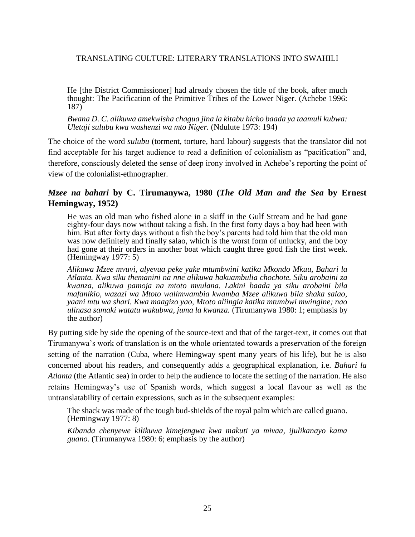He [the District Commissioner] had already chosen the title of the book, after much thought: The Pacification of the Primitive Tribes of the Lower Niger. (Achebe 1996: 187)

*Bwana D. C. alikuwa amekwisha chagua jina la kitabu hicho baada ya taamuli kubwa: Uletaji sulubu kwa washenzi wa mto Niger.* (Ndulute 1973: 194)

The choice of the word *sulubu* (torment, torture, hard labour) suggests that the translator did not find acceptable for his target audience to read a definition of colonialism as "pacification" and, therefore, consciously deleted the sense of deep irony involved in Achebe's reporting the point of view of the colonialist-ethnographer.

## *Mzee na bahari* **by C. Tirumanywa, 1980 (***The Old Man and the Sea* **by Ernest Hemingway, 1952)**

He was an old man who fished alone in a skiff in the Gulf Stream and he had gone eighty-four days now without taking a fish. In the first forty days a boy had been with him. But after forty days without a fish the boy's parents had told him that the old man was now definitely and finally salao, which is the worst form of unlucky, and the boy had gone at their orders in another boat which caught three good fish the first week. (Hemingway 1977: 5)

*Alikuwa Mzee mvuvi, alyevua peke yake mtumbwini katika Mkondo Mkuu, Bahari la Atlanta. Kwa siku themanini na nne alikuwa hakuambulia chochote. Siku arobaini za kwanza, alikuwa pamoja na mtoto mvulana. Lakini baada ya siku arobaini bila mafanikio, wazazi wa Mtoto walimwambia kwamba Mzee alikuwa bila shaka salao, yaani mtu wa shari. Kwa maagizo yao, Mtoto aliingia katika mtumbwi mwingine; nao ulinasa samaki watatu wakubwa, juma la kwanza.* (Tirumanywa 1980: 1; emphasis by the author)

By putting side by side the opening of the source-text and that of the target-text, it comes out that Tirumanywa's work of translation is on the whole orientated towards a preservation of the foreign setting of the narration (Cuba, where Hemingway spent many years of his life), but he is also concerned about his readers, and consequently adds a geographical explanation, i.e. *Bahari la Atlanta* (the Atlantic sea) in order to help the audience to locate the setting of the narration. He also retains Hemingway's use of Spanish words, which suggest a local flavour as well as the untranslatability of certain expressions, such as in the subsequent examples:

The shack was made of the tough bud-shields of the royal palm which are called guano. (Hemingway 1977: 8)

*Kibanda chenyewe kilikuwa kimejengwa kwa makuti ya mivaa, ijulikanayo kama guano.* (Tirumanywa 1980: 6; emphasis by the author)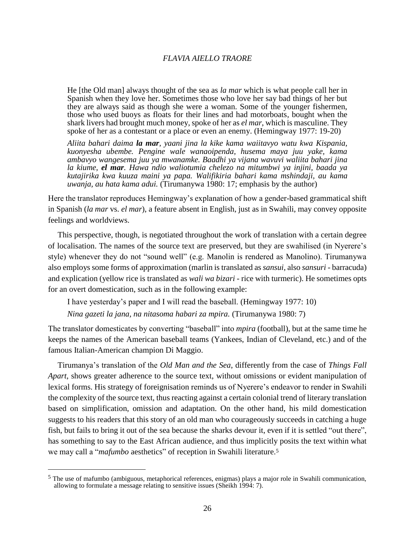He [the Old man] always thought of the sea as *la mar* which is what people call her in Spanish when they love her. Sometimes those who love her say bad things of her but they are always said as though she were a woman. Some of the younger fishermen, those who used buoys as floats for their lines and had motorboats, bought when the shark livers had brought much money, spoke of her as *el mar*, which is masculine. They spoke of her as a contestant or a place or even an enemy. (Hemingway 1977: 19-20)

*Aliita bahari daima la mar, yaani jina la kike kama waiitavyo watu kwa Kispania, kuonyesha ubembe. Pengine wale wanaoipenda, husema maya juu yake, kama ambavyo wangesema juu ya mwanamke. Baadhi ya vijana wavuvi waliita bahari jina la kiume, el mar. Hawa ndio waliotumia chelezo na mitumbwi ya injini, baada ya kutajirika kwa kuuza maini ya papa. Walifikiria bahari kama mshindaji, au kama uwanja, au hata kama adui.* (Tirumanywa 1980: 17; emphasis by the author)

Here the translator reproduces Hemingway's explanation of how a gender-based grammatical shift in Spanish (*la mar* vs. *el mar*), a feature absent in English, just as in Swahili, may convey opposite feelings and worldviews.

This perspective, though, is negotiated throughout the work of translation with a certain degree of localisation. The names of the source text are preserved, but they are swahilised (in Nyerere's style) whenever they do not "sound well" (e.g. Manolin is rendered as Manolino). Tirumanywa also employs some forms of approximation (marlin is translated as *sansui*, also *sansuri -* barracuda) and explication (yellow rice is translated as *wali wa bizari* - rice with turmeric). He sometimes opts for an overt domestication, such as in the following example:

I have yesterday's paper and I will read the baseball. (Hemingway 1977: 10)

*Nina gazeti la jana, na nitasoma habari za mpira.* (Tirumanywa 1980: 7)

The translator domesticates by converting "baseball" into *mpira* (football), but at the same time he keeps the names of the American baseball teams (Yankees, Indian of Cleveland, etc.) and of the famous Italian-American champion Di Maggio.

Tirumanya's translation of the *Old Man and the Sea*, differently from the case of *Things Fall Apart*, shows greater adherence to the source text, without omissions or evident manipulation of lexical forms. His strategy of foreignisation reminds us of Nyerere's endeavor to render in Swahili the complexity of the source text, thus reacting against a certain colonial trend of literary translation based on simplification, omission and adaptation. On the other hand, his mild domestication suggests to his readers that this story of an old man who courageously succeeds in catching a huge fish, but fails to bring it out of the sea because the sharks devour it, even if it is settled "out there", has something to say to the East African audience, and thus implicitly posits the text within what we may call a "*mafumbo* aesthetics" of reception in Swahili literature.<sup>5</sup>

 $\overline{a}$ 

<sup>5</sup> The use of mafumbo (ambiguous, metaphorical references, enigmas) plays a major role in Swahili communication, allowing to formulate a message relating to sensitive issues (Sheikh 1994: 7).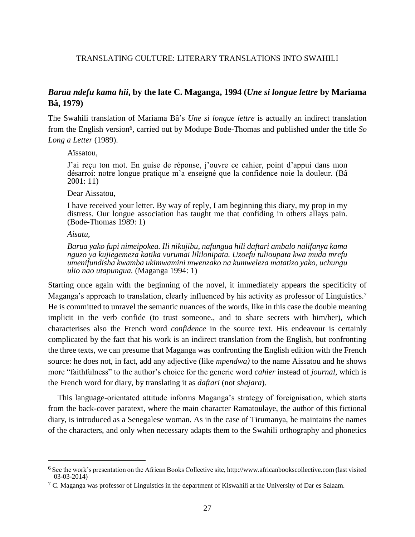## *Barua ndefu kama hii***, by the late C. Maganga, 1994 (***Une si longue lettre* **by Mariama Bâ, 1979)**

The Swahili translation of Mariama Bâ's *Une si longue lettre* is actually an indirect translation from the English version6, carried out by Modupe Bode-Thomas and published under the title *So Long a Letter* (1989).

Aïssatou,

J'ai reçu ton mot. En guise de réponse, j'ouvre ce cahier, point d'appui dans mon désarroi: notre longue pratique m'a enseigné que la confidence noie la douleur. (Bâ 2001: 11)

Dear Aissatou,

I have received your letter. By way of reply, I am beginning this diary, my prop in my distress. Our longue association has taught me that confiding in others allays pain. (Bode-Thomas 1989: 1)

*Aisatu,*

 $\overline{a}$ 

*Barua yako fupi nimeipokea. Ili nikujibu, nafungua hili daftari ambalo nalifanya kama nguzo ya kujiegemeza katika vurumai lililonipata. Uzoefu tulioupata kwa muda mrefu umenifundisha kwamba ukimwamini mwenzako na kumweleza matatizo yako, uchungu ulio nao utapungua.* (Maganga 1994: 1)

Starting once again with the beginning of the novel, it immediately appears the specificity of Maganga's approach to translation, clearly influenced by his activity as professor of Linguistics.<sup>7</sup> He is committed to unravel the semantic nuances of the words, like in this case the double meaning implicit in the verb confide (to trust someone., and to share secrets with him/her), which characterises also the French word *confidence* in the source text. His endeavour is certainly complicated by the fact that his work is an indirect translation from the English, but confronting the three texts, we can presume that Maganga was confronting the English edition with the French source: he does not, in fact, add any adjective (like *mpendwa)* to the name Aissatou and he shows more "faithfulness" to the author's choice for the generic word *cahier* instead of *journal*, which is the French word for diary, by translating it as *daftari* (not *shajara*).

This language-orientated attitude informs Maganga's strategy of foreignisation, which starts from the back-cover paratext, where the main character Ramatoulaye, the author of this fictional diary, is introduced as a Senegalese woman. As in the case of Tirumanya, he maintains the names of the characters, and only when necessary adapts them to the Swahili orthography and phonetics

<sup>6</sup> See the work's presentation on the African Books Collective site, [http://www.africanbookscollective.com](http://www.africanbookscollective.com/) (last visited 03-03-2014)

 $7$  C. Maganga was professor of Linguistics in the department of Kiswahili at the University of Dar es Salaam.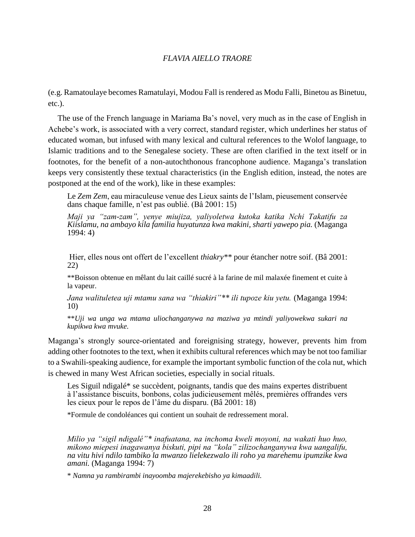(e.g. Ramatoulaye becomes Ramatulayi, Modou Fall is rendered as Modu Falli, Binetou as Binetuu, etc.).

The use of the French language in Mariama Ba's novel, very much as in the case of English in Achebe's work, is associated with a very correct, standard register, which underlines her status of educated woman, but infused with many lexical and cultural references to the Wolof language, to Islamic traditions and to the Senegalese society. These are often clarified in the text itself or in footnotes, for the benefit of a non-autochthonous francophone audience. Maganga's translation keeps very consistently these textual characteristics (in the English edition, instead, the notes are postponed at the end of the work), like in these examples:

Le *Zem Zem*, eau miraculeuse venue des Lieux saints de l'Islam, pieusement conservée dans chaque famille, n'est pas oublié. (Bâ 2001: 15)

*Maji ya "zam-zam", yenye miujiza, yaliyoletwa kutoka katika Nchi Takatifu za Kiislamu, na ambayo kila familia huyatunza kwa makini, sharti yawepo pia.* (Maganga 1994: 4)

Hier, elles nous ont offert de l'excellent *thiakry\*\** pour étancher notre soif. (Bâ 2001: 22)

\*\*Boisson obtenue en mêlant du lait caillé sucré à la farine de mil malaxée finement et cuite à la vapeur.

*Jana walituletea uji mtamu sana wa "thiakiri"\*\* ili tupoze kiu yetu.* (Maganga 1994: 10)

\*\**Uji wa unga wa mtama uliochanganywa na maziwa ya mtindi yaliyowekwa sukari na kupikwa kwa mvuke.*

Maganga's strongly source-orientated and foreignising strategy, however, prevents him from adding other footnotes to the text, when it exhibits cultural references which may be not too familiar to a Swahili-speaking audience, for example the important symbolic function of the cola nut, which is chewed in many West African societies, especially in social rituals.

Les Siguil ndigalé\* se succèdent, poignants, tandis que des mains expertes distribuent à l'assistance biscuits, bonbons, colas judicieusement mêlés, premières offrandes vers les cieux pour le repos de l'âme du disparu. (Bâ 2001: 18)

\*Formule de condoléances qui contient un souhait de redressement moral.

*Milio ya "sigil ndigalé"\* inafuatana, na inchoma kweli moyoni, na wakati huo huo, mikono miepesi inagawanya biskuti, pipi na "kola" zilizochanganywa kwa uangalifu, na vitu hivi ndilo tambiko la mwanzo lielekezwalo ili roho ya marehemu ipumzike kwa amani.* (Maganga 1994: 7)

\* *Namna ya rambirambi inayoomba majerekebisho ya kimaadili.*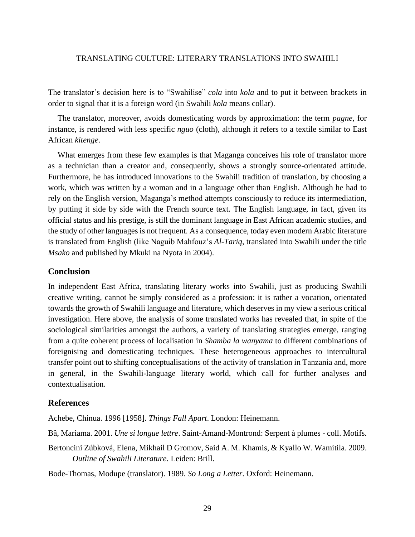The translator's decision here is to "Swahilise" *cola* into *kola* and to put it between brackets in order to signal that it is a foreign word (in Swahili *kola* means collar).

The translator, moreover, avoids domesticating words by approximation: the term *pagne*, for instance, is rendered with less specific *nguo* (cloth), although it refers to a textile similar to East African *kitenge*.

What emerges from these few examples is that Maganga conceives his role of translator more as a technician than a creator and, consequently, shows a strongly source-orientated attitude. Furthermore, he has introduced innovations to the Swahili tradition of translation, by choosing a work, which was written by a woman and in a language other than English. Although he had to rely on the English version, Maganga's method attempts consciously to reduce its intermediation, by putting it side by side with the French source text. The English language, in fact, given its official status and his prestige, is still the dominant language in East African academic studies, and the study of other languages is not frequent. As a consequence, today even modern Arabic literature is translated from English (like Naguib Mahfouz's *Al-Tariq*, translated into Swahili under the title *Msako* and published by Mkuki na Nyota in 2004).

### **Conclusion**

In independent East Africa, translating literary works into Swahili, just as producing Swahili creative writing, cannot be simply considered as a profession: it is rather a vocation, orientated towards the growth of Swahili language and literature, which deserves in my view a serious critical investigation. Here above, the analysis of some translated works has revealed that, in spite of the sociological similarities amongst the authors, a variety of translating strategies emerge, ranging from a quite coherent process of localisation in *Shamba la wanyama* to different combinations of foreignising and domesticating techniques. These heterogeneous approaches to intercultural transfer point out to shifting conceptualisations of the activity of translation in Tanzania and, more in general, in the Swahili-language literary world, which call for further analyses and contextualisation.

## **References**

Achebe, Chinua. 1996 [1958]. *Things Fall Apart*. London: Heinemann.

Bâ, Mariama. 2001. *Une si longue lettre*. Saint-Amand-Montrond: Serpent à plumes - coll. Motifs.

Bertoncini Zúbková, Elena, Mikhail D Gromov, Said A. M. Khamis, & Kyallo W. Wamitila. 2009. *Outline of Swahili Literature.* Leiden: Brill.

Bode-Thomas, Modupe (translator). 1989. *So Long a Letter*. Oxford: Heinemann.